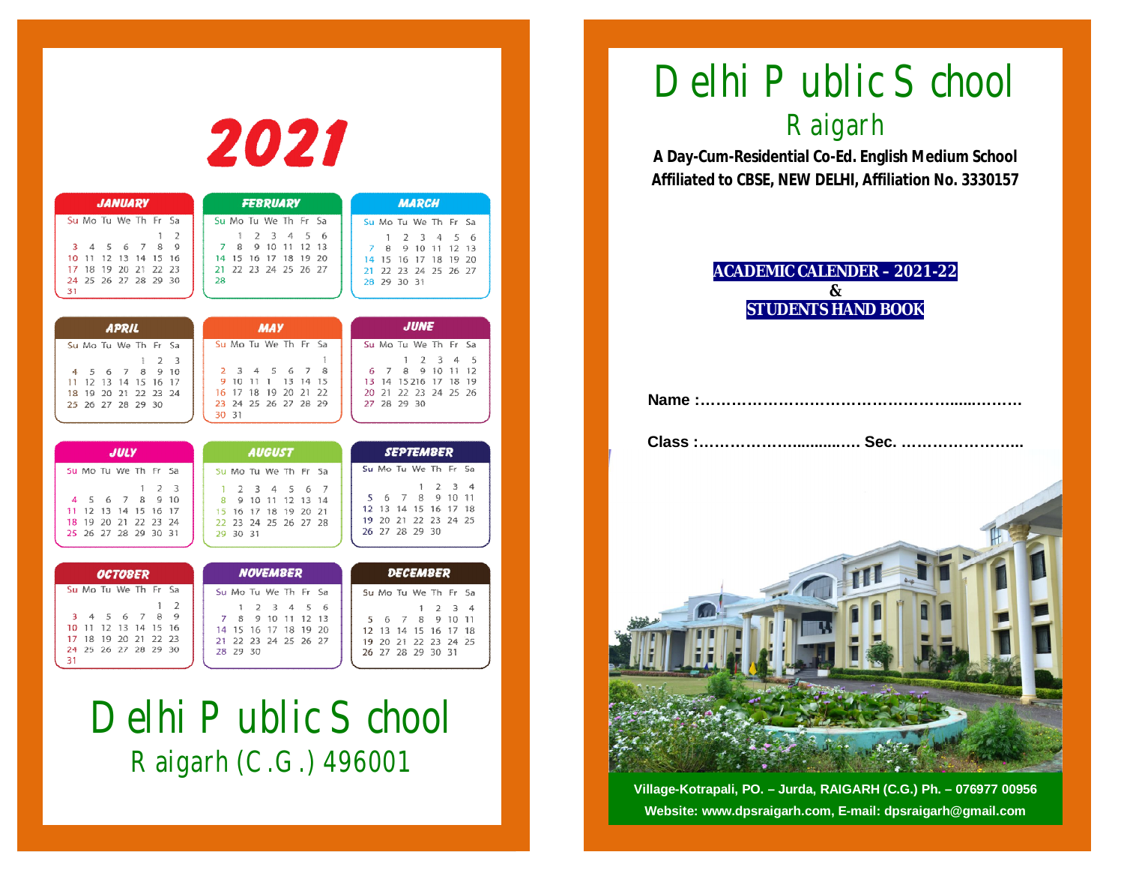|                                                                                                                                                                                                    | 2021                                                                                                                                                                                      |                                                                                                                                                                                                      |
|----------------------------------------------------------------------------------------------------------------------------------------------------------------------------------------------------|-------------------------------------------------------------------------------------------------------------------------------------------------------------------------------------------|------------------------------------------------------------------------------------------------------------------------------------------------------------------------------------------------------|
| <b>JANUARY</b>                                                                                                                                                                                     | <b>FEBRUARY</b>                                                                                                                                                                           | <b>MARCH</b>                                                                                                                                                                                         |
| Su Mo Tu We Th Fr<br>Sa<br>2<br>1<br>7<br>8<br>9<br>5<br>6<br>з<br>4<br>12<br>13<br>14<br>15<br>10<br>11<br>16<br>18<br>19<br>20 21<br>22<br>17<br>23<br>24 25 26 27 28 29 30<br>31                | Su Mo Tu We Th Fr<br>Sa<br>2<br>3<br>5<br>1<br>4<br>6<br>8<br>9<br>10<br>12<br>11<br>13<br>7<br>15<br>16<br>-17<br>18<br>19<br>20<br>14<br>22 23 24 25 26<br>-27<br>21.<br>28             | Su Mo Tu We Th Fr<br>Sa<br>2<br>3<br>5<br>1<br>$\overline{A}$<br>6<br>8<br>9<br>10<br>11<br>12<br>7<br>-13<br>16<br>-17<br>18<br>19 20<br>14<br>15<br>23 24 25 26 27<br>22<br>21<br>28 29 30 31      |
| <b>APRIL</b>                                                                                                                                                                                       | <b>MAY</b>                                                                                                                                                                                | <b>JUNE</b>                                                                                                                                                                                          |
| Su Mo Tu We Th Fr<br>Sa<br>$\overline{2}$<br>3<br>ŧ<br>7<br>8<br>9<br>5<br>6<br>10<br>4<br>12<br>13<br>14<br>15<br>16<br>-17<br>11<br>20 21<br>-19<br>22<br>23 24<br>18<br>26 27 28 29<br>25<br>30 | Su Mo Tu We Th Fr<br>Sa<br>1<br>7<br>8<br>3<br>5<br>6<br>2<br>4<br>9<br>10<br>11<br>13<br>14<br>15<br>1<br>17<br>18<br>20<br>21<br>22<br>16<br>19<br>24 25 26 27 28<br>23<br>29<br>30 31  | Su Mo Tu We Th<br>Fr.<br>Sa<br>2<br>3<br>5<br>1<br>4<br>8<br>9<br>10<br>7<br>11<br>12<br>6<br>13<br>14<br>15216<br>-17<br>18<br>19<br>22 23<br>21<br>24 25<br>20<br>26<br>27 28 29 30                |
| <b>JULY</b>                                                                                                                                                                                        | <b>AUGUST</b>                                                                                                                                                                             | <b>SEPTEMBER</b>                                                                                                                                                                                     |
| Su Mo Tu We Th Fr Sa<br>2<br>3<br>1<br>9<br>5<br>6<br>7<br>8<br>10<br>4<br>12<br>13<br>11<br>14<br>15<br>16<br>-17<br>20 21 22<br>19<br>23<br>-24<br>18<br>25 26 27 28 29 30 31                    | Su Mo Tu We Th Fr<br>Sa<br>2<br>3<br>5<br>4<br>6<br>7<br>1<br>8<br>9<br>10<br>11 12 13<br>-14<br>16<br>$-17$<br>-18<br>19 20<br>21<br>15<br>23 24 25 26 27 28<br>22.<br>29 30 31          | Su Mo Tu We Th Fr<br>Sa<br>1<br>2<br>3<br>4<br>9<br>7<br>8<br>10<br>11<br>5<br>6<br>12.<br>13<br>14<br>15<br>16<br>-17<br>18<br>19 20 21 22 23 24 25<br>26 27 28 29 30                               |
| <b>OCTOBER</b>                                                                                                                                                                                     | <b>NOVEMBER</b>                                                                                                                                                                           | <b>DECEMBER</b>                                                                                                                                                                                      |
| Su Mo Tu We Th Fr<br>Sa<br>$\overline{2}$<br>ţ<br>5<br>6<br>7<br>8<br>9<br>3<br>4<br>12<br>-13<br>14<br>15<br>10<br>-11<br>16<br>19 20 21<br>22<br>17<br>18<br>23<br>25 26 27 28 29 30<br>24<br>31 | Su Mo Tu We Th Fr<br>Sa<br>3<br>5<br>1<br>2<br>4<br>6<br>9<br>10<br>12<br>7<br>8<br>11<br>13<br>14<br>15<br>16<br>17<br>18<br>19<br>20<br>24.25<br>21<br>22<br>23<br>26<br>27<br>28 29 30 | Su Mo Tu We Th Fr<br>Sa<br>2<br>3<br>4<br>1<br>8<br>9<br>$_{10}$<br>5<br>7<br>11<br>6<br>15<br>16<br>17<br>18<br>$12 \overline{ }$<br>13<br>14<br>19<br>20 21 22<br>23 24<br>25<br>26 27 28 29 30 31 |

# Delhi Public School Raigarh (C.G.) 496001

# Delhi Public School Raigarh

**A Day-Cum-Residential Co-Ed. English Medium School Affiliated to CBSE, NEW DELHI, Affiliation No. 3330157**

#### **ACADEMIC CALENDER – 2021-22 & STUDENTS HAND BOOK**

**Class :………………...........…. Sec. …………………...**



**Village-Kotrapali, PO. – Jurda, RAIGARH (C.G.) Ph. – 076977 00956 Website: www.dpsraigarh.com, E-mail: dpsraigarh@gmail.com**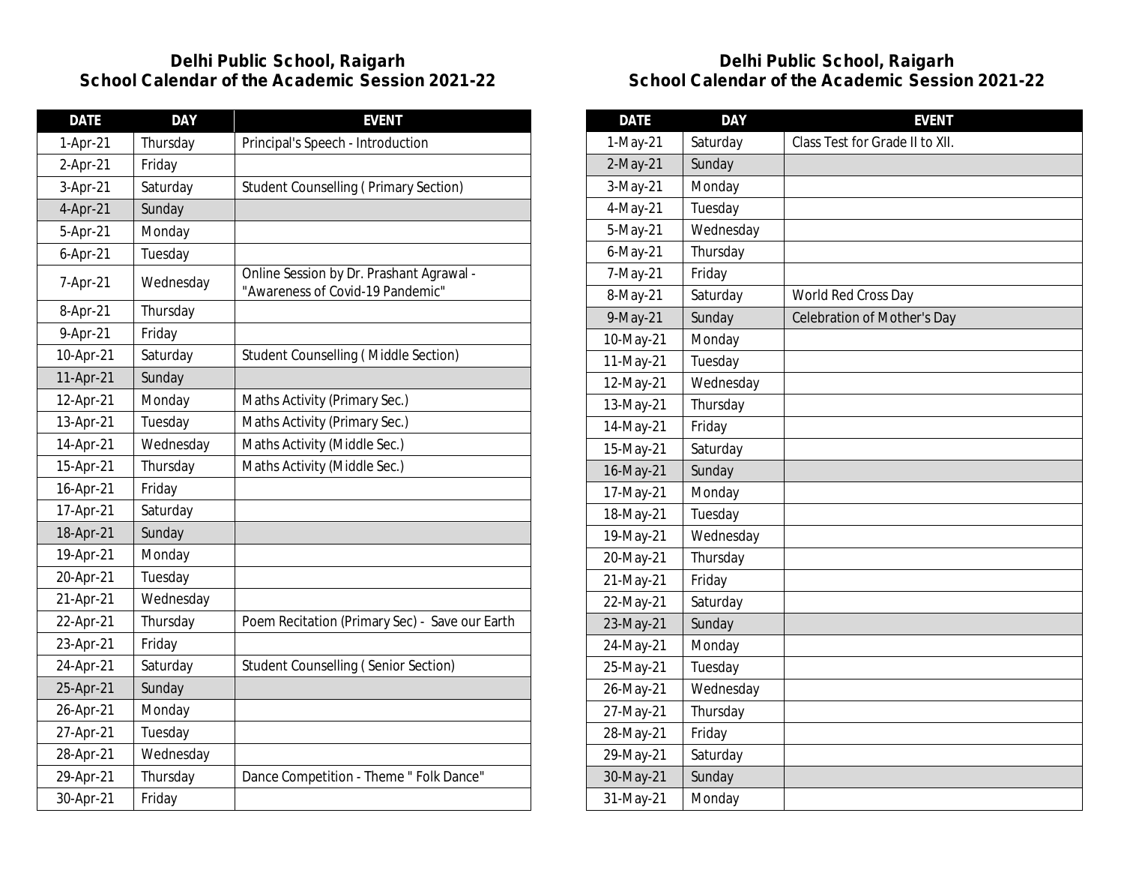| <b>DATE</b> | <b>DAY</b> | <b>EVENT</b>                                                                 |
|-------------|------------|------------------------------------------------------------------------------|
| 1-Apr-21    | Thursday   | Principal's Speech - Introduction                                            |
| 2-Apr-21    | Friday     |                                                                              |
| 3-Apr-21    | Saturday   | <b>Student Counselling (Primary Section)</b>                                 |
| 4-Apr-21    | Sunday     |                                                                              |
| 5-Apr-21    | Monday     |                                                                              |
| $6-Apr-21$  | Tuesday    |                                                                              |
| 7-Apr-21    | Wednesday  | Online Session by Dr. Prashant Agrawal -<br>"Awareness of Covid-19 Pandemic" |
| 8-Apr-21    | Thursday   |                                                                              |
| 9-Apr-21    | Friday     |                                                                              |
| 10-Apr-21   | Saturday   | Student Counselling (Middle Section)                                         |
| 11-Apr-21   | Sunday     |                                                                              |
| 12-Apr-21   | Monday     | Maths Activity (Primary Sec.)                                                |
| 13-Apr-21   | Tuesday    | Maths Activity (Primary Sec.)                                                |
| 14-Apr-21   | Wednesday  | Maths Activity (Middle Sec.)                                                 |
| 15-Apr-21   | Thursday   | Maths Activity (Middle Sec.)                                                 |
| 16-Apr-21   | Friday     |                                                                              |
| 17-Apr-21   | Saturday   |                                                                              |
| 18-Apr-21   | Sunday     |                                                                              |
| 19-Apr-21   | Monday     |                                                                              |
| 20-Apr-21   | Tuesday    |                                                                              |
| 21-Apr-21   | Wednesday  |                                                                              |
| 22-Apr-21   | Thursday   | Poem Recitation (Primary Sec) - Save our Earth                               |
| 23-Apr-21   | Friday     |                                                                              |
| 24-Apr-21   | Saturday   | <b>Student Counselling (Senior Section)</b>                                  |
| 25-Apr-21   | Sunday     |                                                                              |
| 26-Apr-21   | Monday     |                                                                              |
| 27-Apr-21   | Tuesday    |                                                                              |
| 28-Apr-21   | Wednesday  |                                                                              |
| 29-Apr-21   | Thursday   | Dance Competition - Theme " Folk Dance"                                      |
| 30-Apr-21   | Friday     |                                                                              |

| <b>DATE</b> | <b>DAY</b> | <b>EVENT</b>                    |
|-------------|------------|---------------------------------|
| 1-May-21    | Saturday   | Class Test for Grade II to XII. |
| 2-May-21    | Sunday     |                                 |
| 3-May-21    | Monday     |                                 |
| 4-May-21    | Tuesday    |                                 |
| 5-May-21    | Wednesday  |                                 |
| 6-May-21    | Thursday   |                                 |
| 7-May-21    | Friday     |                                 |
| 8-May-21    | Saturday   | World Red Cross Day             |
| 9-May-21    | Sunday     | Celebration of Mother's Day     |
| 10-May-21   | Monday     |                                 |
| 11-May-21   | Tuesday    |                                 |
| 12-May-21   | Wednesday  |                                 |
| 13-May-21   | Thursday   |                                 |
| 14-May-21   | Friday     |                                 |
| 15-May-21   | Saturday   |                                 |
| 16-May-21   | Sunday     |                                 |
| 17-May-21   | Monday     |                                 |
| 18-May-21   | Tuesday    |                                 |
| 19-May-21   | Wednesday  |                                 |
| 20-May-21   | Thursday   |                                 |
| 21-May-21   | Friday     |                                 |
| 22-May-21   | Saturday   |                                 |
| 23-May-21   | Sunday     |                                 |
| 24-May-21   | Monday     |                                 |
| 25-May-21   | Tuesday    |                                 |
| 26-May-21   | Wednesday  |                                 |
| 27-May-21   | Thursday   |                                 |
| 28-May-21   | Friday     |                                 |
| 29-May-21   | Saturday   |                                 |
| 30-May-21   | Sunday     |                                 |
| 31-May-21   | Monday     |                                 |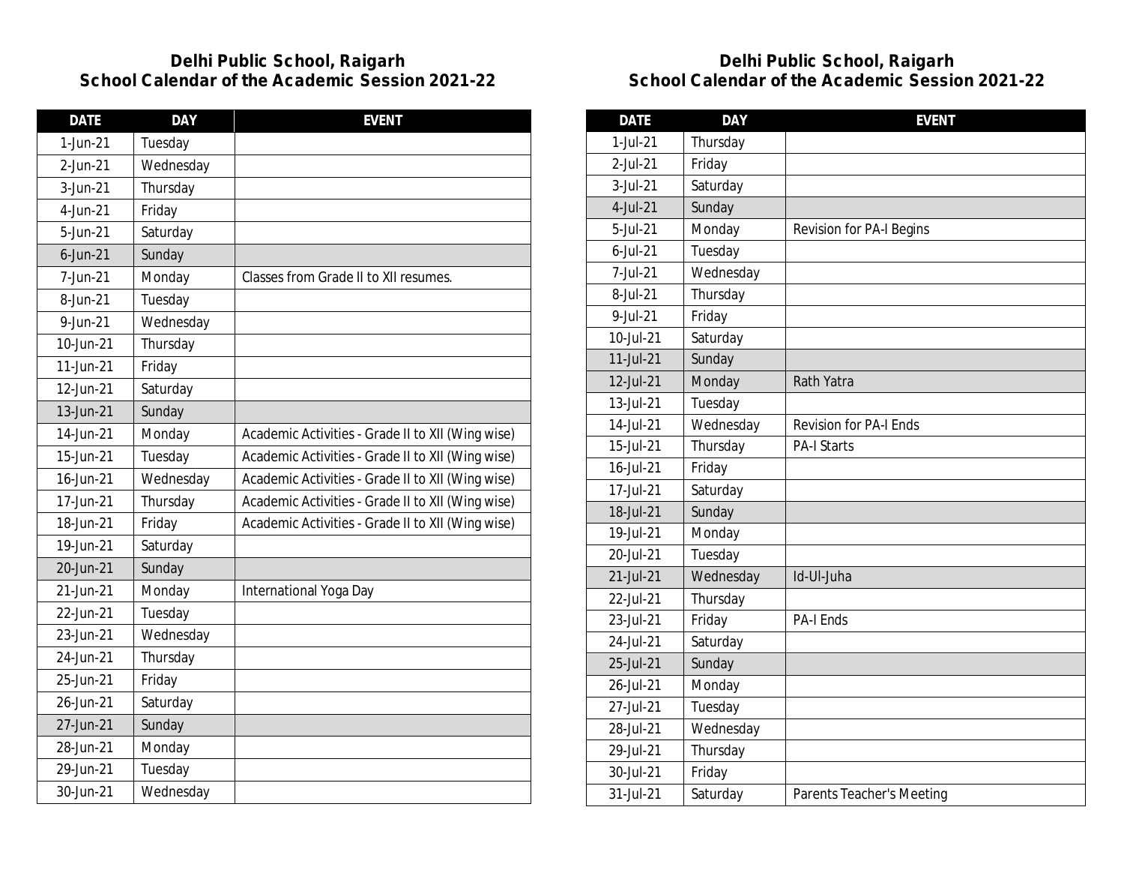| <b>DATE</b> | <b>DAY</b> | <b>EVENT</b>                                      |
|-------------|------------|---------------------------------------------------|
| 1-Jun-21    | Tuesday    |                                                   |
| 2-Jun-21    | Wednesday  |                                                   |
| 3-Jun-21    | Thursday   |                                                   |
| 4-Jun-21    | Friday     |                                                   |
| 5-Jun-21    | Saturday   |                                                   |
| $6$ -Jun-21 | Sunday     |                                                   |
| 7-Jun-21    | Monday     | Classes from Grade II to XII resumes.             |
| 8-Jun-21    | Tuesday    |                                                   |
| 9-Jun-21    | Wednesday  |                                                   |
| 10-Jun-21   | Thursday   |                                                   |
| 11-Jun-21   | Friday     |                                                   |
| 12-Jun-21   | Saturday   |                                                   |
| 13-Jun-21   | Sunday     |                                                   |
| 14-Jun-21   | Monday     | Academic Activities - Grade II to XII (Wing wise) |
| 15-Jun-21   | Tuesday    | Academic Activities - Grade II to XII (Wing wise) |
| 16-Jun-21   | Wednesday  | Academic Activities - Grade II to XII (Wing wise) |
| 17-Jun-21   | Thursday   | Academic Activities - Grade II to XII (Wing wise) |
| 18-Jun-21   | Friday     | Academic Activities - Grade II to XII (Wing wise) |
| 19-Jun-21   | Saturday   |                                                   |
| 20-Jun-21   | Sunday     |                                                   |
| 21-Jun-21   | Monday     | International Yoga Day                            |
| 22-Jun-21   | Tuesday    |                                                   |
| 23-Jun-21   | Wednesday  |                                                   |
| 24-Jun-21   | Thursday   |                                                   |
| 25-Jun-21   | Friday     |                                                   |
| 26-Jun-21   | Saturday   |                                                   |
| 27-Jun-21   | Sunday     |                                                   |
| 28-Jun-21   | Monday     |                                                   |
| 29-Jun-21   | Tuesday    |                                                   |
| 30-Jun-21   | Wednesday  |                                                   |

| <b>DATE</b>  | <b>DAY</b> | <b>EVENT</b>                     |
|--------------|------------|----------------------------------|
| 1-Jul-21     | Thursday   |                                  |
| 2-Jul-21     | Friday     |                                  |
| 3-Jul-21     | Saturday   |                                  |
| 4-Jul-21     | Sunday     |                                  |
| 5-Jul-21     | Monday     | <b>Revision for PA-I Begins</b>  |
| $6$ -Jul-21  | Tuesday    |                                  |
| 7-Jul-21     | Wednesday  |                                  |
| 8-Jul-21     | Thursday   |                                  |
| 9-Jul-21     | Friday     |                                  |
| 10-Jul-21    | Saturday   |                                  |
| $11$ -Jul-21 | Sunday     |                                  |
| 12-Jul-21    | Monday     | Rath Yatra                       |
| 13-Jul-21    | Tuesday    |                                  |
| 14-Jul-21    | Wednesday  | <b>Revision for PA-I Ends</b>    |
| 15-Jul-21    | Thursday   | <b>PA-I Starts</b>               |
| 16-Jul-21    | Friday     |                                  |
| 17-Jul-21    | Saturday   |                                  |
| 18-Jul-21    | Sunday     |                                  |
| 19-Jul-21    | Monday     |                                  |
| 20-Jul-21    | Tuesday    |                                  |
| 21-Jul-21    | Wednesday  | Id-Ul-Juha                       |
| 22-Jul-21    | Thursday   |                                  |
| 23-Jul-21    | Friday     | <b>PA-I Ends</b>                 |
| 24-Jul-21    | Saturday   |                                  |
| 25-Jul-21    | Sunday     |                                  |
| 26-Jul-21    | Monday     |                                  |
| 27-Jul-21    | Tuesday    |                                  |
| 28-Jul-21    | Wednesday  |                                  |
| 29-Jul-21    | Thursday   |                                  |
| 30-Jul-21    | Friday     |                                  |
| 31-Jul-21    | Saturday   | <b>Parents Teacher's Meeting</b> |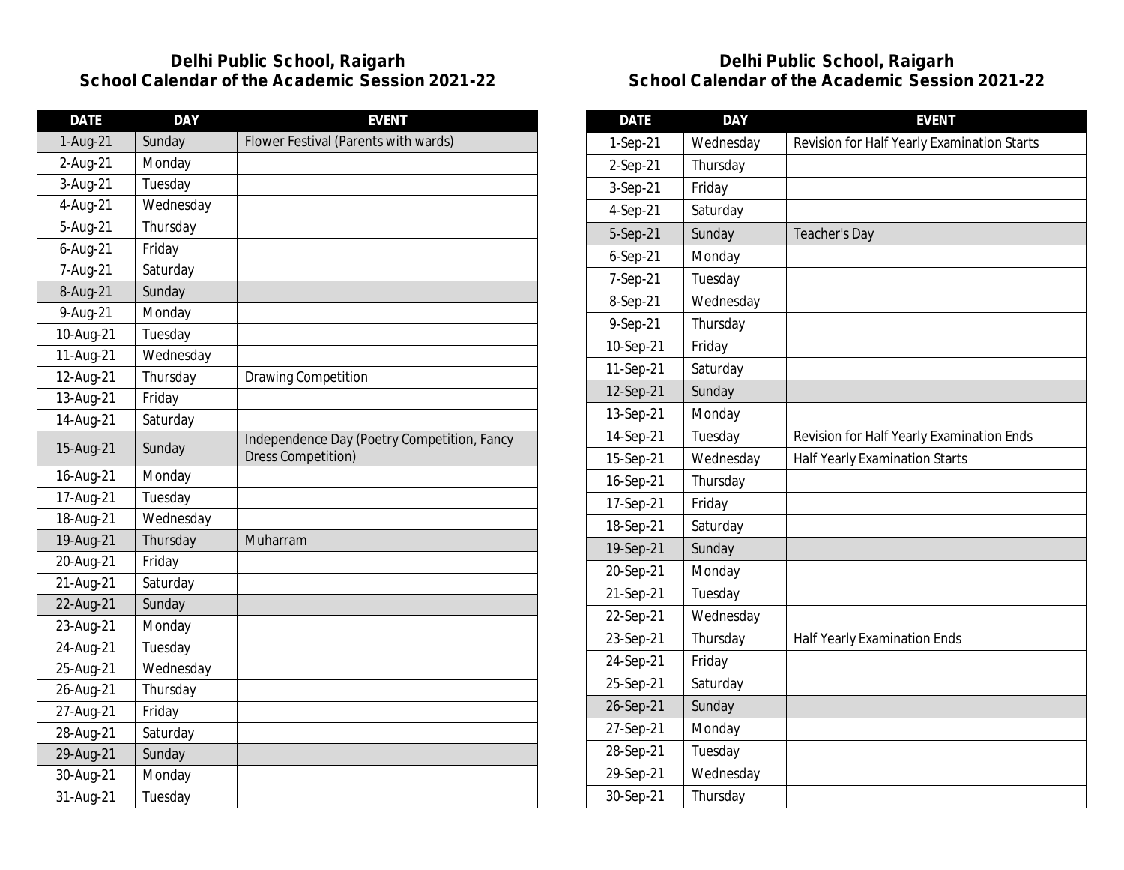| <b>DATE</b> | <b>DAY</b> | <b>EVENT</b>                                                             |
|-------------|------------|--------------------------------------------------------------------------|
| 1-Aug-21    | Sunday     | Flower Festival (Parents with wards)                                     |
| 2-Aug-21    | Monday     |                                                                          |
| 3-Aug-21    | Tuesday    |                                                                          |
| 4-Aug-21    | Wednesday  |                                                                          |
| 5-Aug-21    | Thursday   |                                                                          |
| 6-Aug-21    | Friday     |                                                                          |
| 7-Aug-21    | Saturday   |                                                                          |
| 8-Aug-21    | Sunday     |                                                                          |
| 9-Aug-21    | Monday     |                                                                          |
| 10-Aug-21   | Tuesday    |                                                                          |
| 11-Aug-21   | Wednesday  |                                                                          |
| 12-Aug-21   | Thursday   | <b>Drawing Competition</b>                                               |
| 13-Aug-21   | Friday     |                                                                          |
| 14-Aug-21   | Saturday   |                                                                          |
| 15-Aug-21   | Sunday     | Independence Day (Poetry Competition, Fancy<br><b>Dress Competition)</b> |
| 16-Aug-21   | Monday     |                                                                          |
| 17-Aug-21   | Tuesday    |                                                                          |
| 18-Aug-21   | Wednesday  |                                                                          |
| 19-Aug-21   | Thursday   | Muharram                                                                 |
| 20-Aug-21   | Friday     |                                                                          |
| 21-Aug-21   | Saturday   |                                                                          |
| 22-Aug-21   | Sunday     |                                                                          |
| 23-Aug-21   | Monday     |                                                                          |
| 24-Aug-21   | Tuesday    |                                                                          |
| 25-Aug-21   | Wednesday  |                                                                          |
| 26-Aug-21   | Thursday   |                                                                          |
| 27-Aug-21   | Friday     |                                                                          |
| 28-Aug-21   | Saturday   |                                                                          |
| 29-Aug-21   | Sunday     |                                                                          |
| 30-Aug-21   | Monday     |                                                                          |
| 31-Aug-21   | Tuesday    |                                                                          |

| <b>DATE</b> | <b>DAY</b> | <b>EVENT</b>                                |
|-------------|------------|---------------------------------------------|
| 1-Sep-21    | Wednesday  | Revision for Half Yearly Examination Starts |
| 2-Sep-21    | Thursday   |                                             |
| 3-Sep-21    | Friday     |                                             |
| 4-Sep-21    | Saturday   |                                             |
| 5-Sep-21    | Sunday     | Teacher's Day                               |
| $6-Sep-21$  | Monday     |                                             |
| 7-Sep-21    | Tuesday    |                                             |
| 8-Sep-21    | Wednesday  |                                             |
| 9-Sep-21    | Thursday   |                                             |
| 10-Sep-21   | Friday     |                                             |
| 11-Sep-21   | Saturday   |                                             |
| 12-Sep-21   | Sunday     |                                             |
| 13-Sep-21   | Monday     |                                             |
| 14-Sep-21   | Tuesday    | Revision for Half Yearly Examination Ends   |
| 15-Sep-21   | Wednesday  | Half Yearly Examination Starts              |
| 16-Sep-21   | Thursday   |                                             |
| 17-Sep-21   | Friday     |                                             |
| 18-Sep-21   | Saturday   |                                             |
| 19-Sep-21   | Sunday     |                                             |
| 20-Sep-21   | Monday     |                                             |
| 21-Sep-21   | Tuesday    |                                             |
| 22-Sep-21   | Wednesday  |                                             |
| 23-Sep-21   | Thursday   | Half Yearly Examination Ends                |
| 24-Sep-21   | Friday     |                                             |
| 25-Sep-21   | Saturday   |                                             |
| 26-Sep-21   | Sunday     |                                             |
| 27-Sep-21   | Monday     |                                             |
| 28-Sep-21   | Tuesday    |                                             |
| 29-Sep-21   | Wednesday  |                                             |
| 30-Sep-21   | Thursday   |                                             |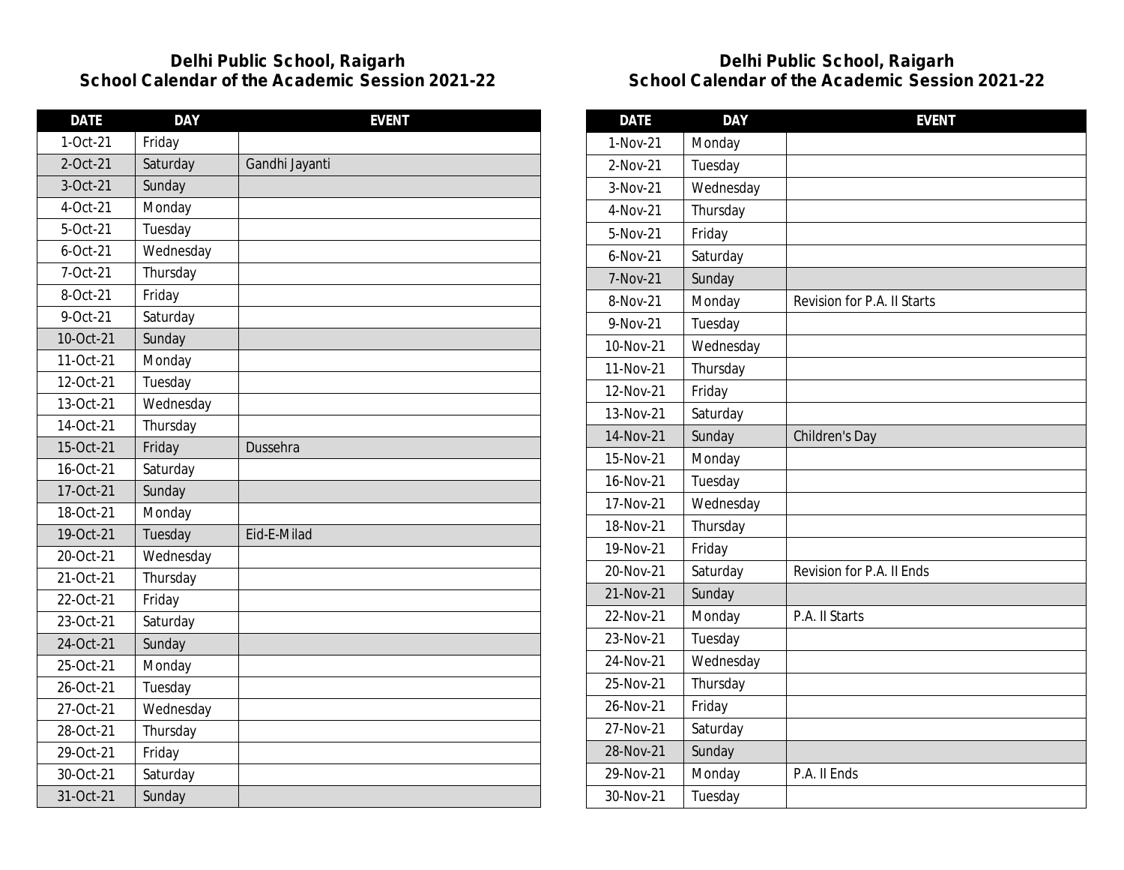| <b>DATE</b> | <b>DAY</b> | <b>EVENT</b>   |
|-------------|------------|----------------|
| 1-Oct-21    | Friday     |                |
| 2-Oct-21    | Saturday   | Gandhi Jayanti |
| 3-Oct-21    | Sunday     |                |
| 4-Oct-21    | Monday     |                |
| 5-Oct-21    | Tuesday    |                |
| $6$ -Oct-21 | Wednesday  |                |
| 7-Oct-21    | Thursday   |                |
| 8-Oct-21    | Friday     |                |
| 9-Oct-21    | Saturday   |                |
| 10-Oct-21   | Sunday     |                |
| 11-Oct-21   | Monday     |                |
| 12-Oct-21   | Tuesday    |                |
| 13-Oct-21   | Wednesday  |                |
| 14-Oct-21   | Thursday   |                |
| 15-Oct-21   | Friday     | Dussehra       |
| 16-Oct-21   | Saturday   |                |
| 17-Oct-21   | Sunday     |                |
| 18-Oct-21   | Monday     |                |
| 19-Oct-21   | Tuesday    | Eid-E-Milad    |
| 20-Oct-21   | Wednesday  |                |
| 21-Oct-21   | Thursday   |                |
| 22-Oct-21   | Friday     |                |
| 23-Oct-21   | Saturday   |                |
| 24-Oct-21   | Sunday     |                |
| 25-Oct-21   | Monday     |                |
| 26-Oct-21   | Tuesday    |                |
| 27-Oct-21   | Wednesday  |                |
| 28-Oct-21   | Thursday   |                |
| 29-Oct-21   | Friday     |                |
| 30-Oct-21   | Saturday   |                |
| 31-Oct-21   | Sunday     |                |

| <b>DATE</b> | <b>DAY</b> | <b>EVENT</b>                |
|-------------|------------|-----------------------------|
| 1-Nov-21    | Monday     |                             |
| $2-Nov-21$  | Tuesday    |                             |
| 3-Nov-21    | Wednesday  |                             |
| 4-Nov-21    | Thursday   |                             |
| 5-Nov-21    | Friday     |                             |
| $6-Nov-21$  | Saturday   |                             |
| 7-Nov-21    | Sunday     |                             |
| 8-Nov-21    | Monday     | Revision for P.A. II Starts |
| 9-Nov-21    | Tuesday    |                             |
| 10-Nov-21   | Wednesday  |                             |
| 11-Nov-21   | Thursday   |                             |
| 12-Nov-21   | Friday     |                             |
| 13-Nov-21   | Saturday   |                             |
| 14-Nov-21   | Sunday     | Children's Day              |
| 15-Nov-21   | Monday     |                             |
| 16-Nov-21   | Tuesday    |                             |
| 17-Nov-21   | Wednesday  |                             |
| 18-Nov-21   | Thursday   |                             |
| 19-Nov-21   | Friday     |                             |
| 20-Nov-21   | Saturday   | Revision for P.A. II Ends   |
| 21-Nov-21   | Sunday     |                             |
| 22-Nov-21   | Monday     | P.A. II Starts              |
| 23-Nov-21   | Tuesday    |                             |
| 24-Nov-21   | Wednesday  |                             |
| 25-Nov-21   | Thursday   |                             |
| 26-Nov-21   | Friday     |                             |
| 27-Nov-21   | Saturday   |                             |
| 28-Nov-21   | Sunday     |                             |
| 29-Nov-21   | Monday     | P.A. II Ends                |
| 30-Nov-21   | Tuesday    |                             |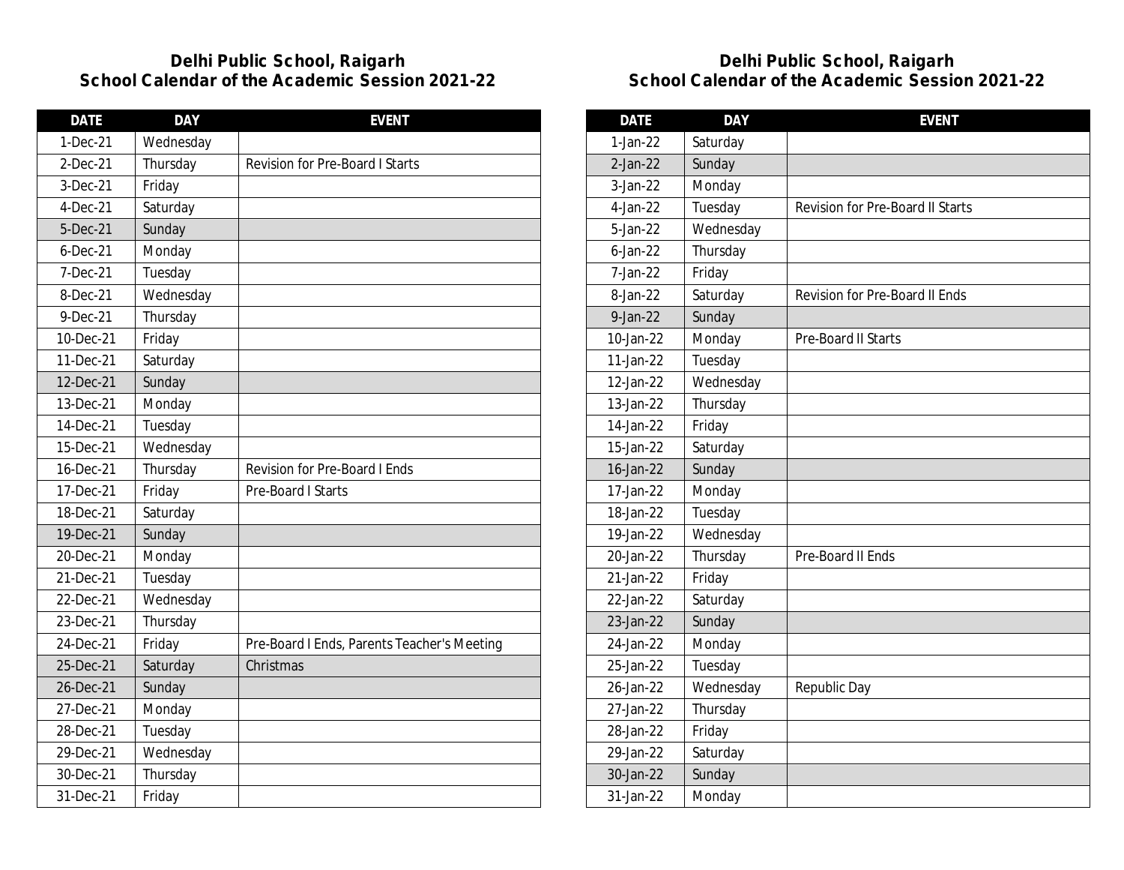| <b>DATE</b> | <b>DAY</b> | <b>EVENT</b>                                |
|-------------|------------|---------------------------------------------|
| 1-Dec-21    | Wednesday  |                                             |
| $2-Dec-21$  | Thursday   | <b>Revision for Pre-Board I Starts</b>      |
| 3-Dec-21    | Friday     |                                             |
| 4-Dec-21    | Saturday   |                                             |
| 5-Dec-21    | Sunday     |                                             |
| $6$ -Dec-21 | Monday     |                                             |
| 7-Dec-21    | Tuesday    |                                             |
| 8-Dec-21    | Wednesday  |                                             |
| 9-Dec-21    | Thursday   |                                             |
| 10-Dec-21   | Friday     |                                             |
| 11-Dec-21   | Saturday   |                                             |
| 12-Dec-21   | Sunday     |                                             |
| 13-Dec-21   | Monday     |                                             |
| 14-Dec-21   | Tuesday    |                                             |
| 15-Dec-21   | Wednesday  |                                             |
| 16-Dec-21   | Thursday   | <b>Revision for Pre-Board I Ends</b>        |
| 17-Dec-21   | Friday     | Pre-Board I Starts                          |
| 18-Dec-21   | Saturday   |                                             |
| 19-Dec-21   | Sunday     |                                             |
| 20-Dec-21   | Monday     |                                             |
| 21-Dec-21   | Tuesday    |                                             |
| 22-Dec-21   | Wednesday  |                                             |
| 23-Dec-21   | Thursday   |                                             |
| 24-Dec-21   | Friday     | Pre-Board I Ends, Parents Teacher's Meeting |
| 25-Dec-21   | Saturday   | Christmas                                   |
| 26-Dec-21   | Sunday     |                                             |
| 27-Dec-21   | Monday     |                                             |
| 28-Dec-21   | Tuesday    |                                             |
| 29-Dec-21   | Wednesday  |                                             |
| 30-Dec-21   | Thursday   |                                             |
| 31-Dec-21   | Friday     |                                             |

| <b>DATE</b> | <b>DAY</b> | <b>EVENT</b>                            |
|-------------|------------|-----------------------------------------|
| $1-Jan-22$  | Saturday   |                                         |
| $2-Jan-22$  | Sunday     |                                         |
| 3-Jan-22    | Monday     |                                         |
| 4-Jan-22    | Tuesday    | <b>Revision for Pre-Board II Starts</b> |
| 5-Jan-22    | Wednesday  |                                         |
| $6$ -Jan-22 | Thursday   |                                         |
| 7-Jan-22    | Friday     |                                         |
| 8-Jan-22    | Saturday   | Revision for Pre-Board II Ends          |
| $9$ -Jan-22 | Sunday     |                                         |
| 10-Jan-22   | Monday     | Pre-Board II Starts                     |
| 11-Jan-22   | Tuesday    |                                         |
| 12-Jan-22   | Wednesday  |                                         |
| 13-Jan-22   | Thursday   |                                         |
| 14-Jan-22   | Friday     |                                         |
| 15-Jan-22   | Saturday   |                                         |
| 16-Jan-22   | Sunday     |                                         |
| 17-Jan-22   | Monday     |                                         |
| 18-Jan-22   | Tuesday    |                                         |
| 19-Jan-22   | Wednesday  |                                         |
| 20-Jan-22   | Thursday   | Pre-Board II Ends                       |
| 21-Jan-22   | Friday     |                                         |
| 22-Jan-22   | Saturday   |                                         |
| 23-Jan-22   | Sunday     |                                         |
| 24-Jan-22   | Monday     |                                         |
| 25-Jan-22   | Tuesday    |                                         |
| 26-Jan-22   | Wednesday  | Republic Day                            |
| 27-Jan-22   | Thursday   |                                         |
| 28-Jan-22   | Friday     |                                         |
| 29-Jan-22   | Saturday   |                                         |
| 30-Jan-22   | Sunday     |                                         |
| 31-Jan-22   | Monday     |                                         |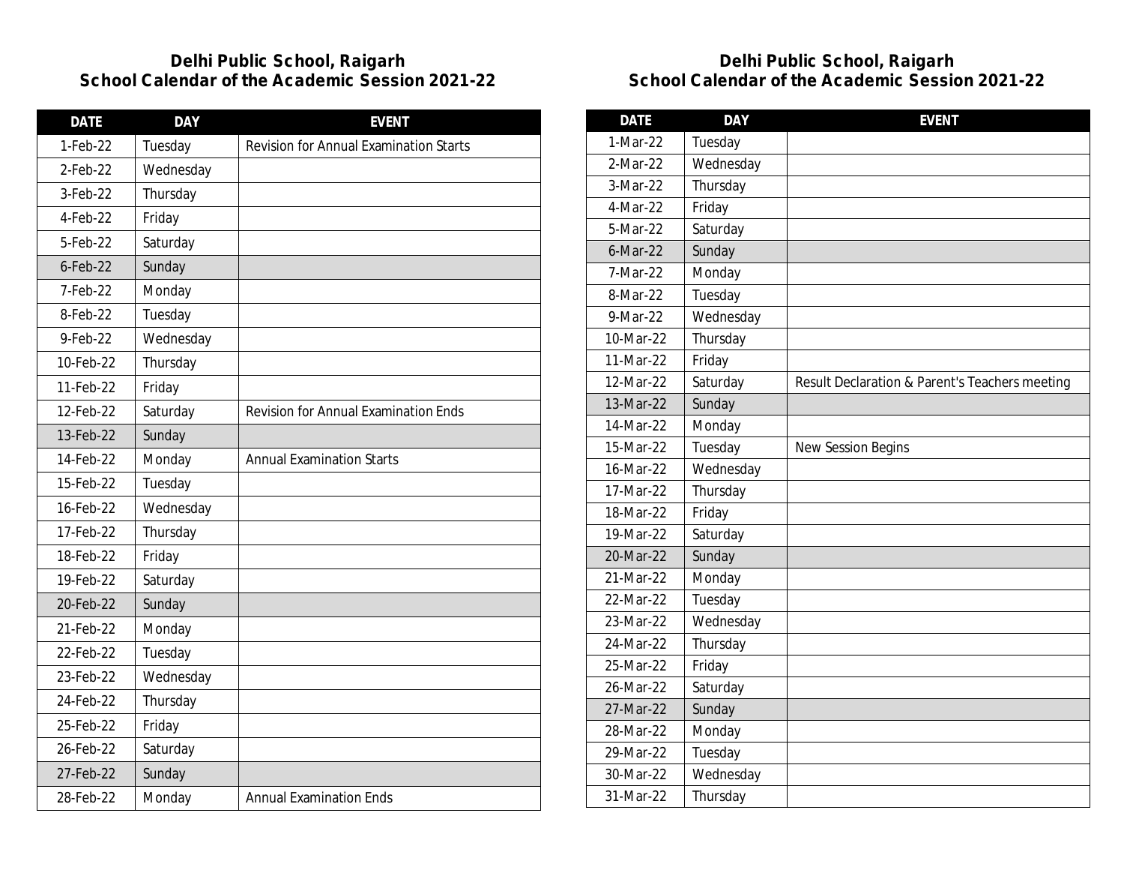| <b>DATE</b> | <b>DAY</b> | <b>EVENT</b>                                  |
|-------------|------------|-----------------------------------------------|
| 1-Feb-22    | Tuesday    | <b>Revision for Annual Examination Starts</b> |
| 2-Feb-22    | Wednesday  |                                               |
| 3-Feb-22    | Thursday   |                                               |
| 4-Feb-22    | Friday     |                                               |
| 5-Feb-22    | Saturday   |                                               |
| $6$ -Feb-22 | Sunday     |                                               |
| 7-Feb-22    | Monday     |                                               |
| 8-Feb-22    | Tuesday    |                                               |
| 9-Feb-22    | Wednesday  |                                               |
| 10-Feb-22   | Thursday   |                                               |
| 11-Feb-22   | Friday     |                                               |
| 12-Feb-22   | Saturday   | <b>Revision for Annual Examination Ends</b>   |
| 13-Feb-22   | Sunday     |                                               |
| 14-Feb-22   | Monday     | <b>Annual Examination Starts</b>              |
| 15-Feb-22   | Tuesday    |                                               |
| 16-Feb-22   | Wednesday  |                                               |
| 17-Feb-22   | Thursday   |                                               |
| 18-Feb-22   | Friday     |                                               |
| 19-Feb-22   | Saturday   |                                               |
| 20-Feb-22   | Sunday     |                                               |
| 21-Feb-22   | Monday     |                                               |
| 22-Feb-22   | Tuesday    |                                               |
| 23-Feb-22   | Wednesday  |                                               |
| 24-Feb-22   | Thursday   |                                               |
| 25-Feb-22   | Friday     |                                               |
| 26-Feb-22   | Saturday   |                                               |
| 27-Feb-22   | Sunday     |                                               |
| 28-Feb-22   | Monday     | <b>Annual Examination Ends</b>                |

| <b>DATE</b> | <b>DAY</b> | <b>EVENT</b>                                   |
|-------------|------------|------------------------------------------------|
| 1-Mar-22    | Tuesday    |                                                |
| 2-Mar-22    | Wednesday  |                                                |
| 3-Mar-22    | Thursday   |                                                |
| 4-Mar-22    | Friday     |                                                |
| 5-Mar-22    | Saturday   |                                                |
| $6$ -Mar-22 | Sunday     |                                                |
| 7-Mar-22    | Monday     |                                                |
| 8-Mar-22    | Tuesday    |                                                |
| 9-Mar-22    | Wednesday  |                                                |
| 10-Mar-22   | Thursday   |                                                |
| 11-Mar-22   | Friday     |                                                |
| 12-Mar-22   | Saturday   | Result Declaration & Parent's Teachers meeting |
| 13-Mar-22   | Sunday     |                                                |
| 14-Mar-22   | Monday     |                                                |
| 15-Mar-22   | Tuesday    | <b>New Session Begins</b>                      |
| 16-Mar-22   | Wednesday  |                                                |
| 17-Mar-22   | Thursday   |                                                |
| 18-Mar-22   | Friday     |                                                |
| 19-Mar-22   | Saturday   |                                                |
| 20-Mar-22   | Sunday     |                                                |
| 21-Mar-22   | Monday     |                                                |
| 22-Mar-22   | Tuesday    |                                                |
| 23-Mar-22   | Wednesday  |                                                |
| 24-Mar-22   | Thursday   |                                                |
| 25-Mar-22   | Friday     |                                                |
| 26-Mar-22   | Saturday   |                                                |
| 27-Mar-22   | Sunday     |                                                |
| 28-Mar-22   | Monday     |                                                |
| 29-Mar-22   | Tuesday    |                                                |
| 30-Mar-22   | Wednesday  |                                                |
| 31-Mar-22   | Thursday   |                                                |
|             |            |                                                |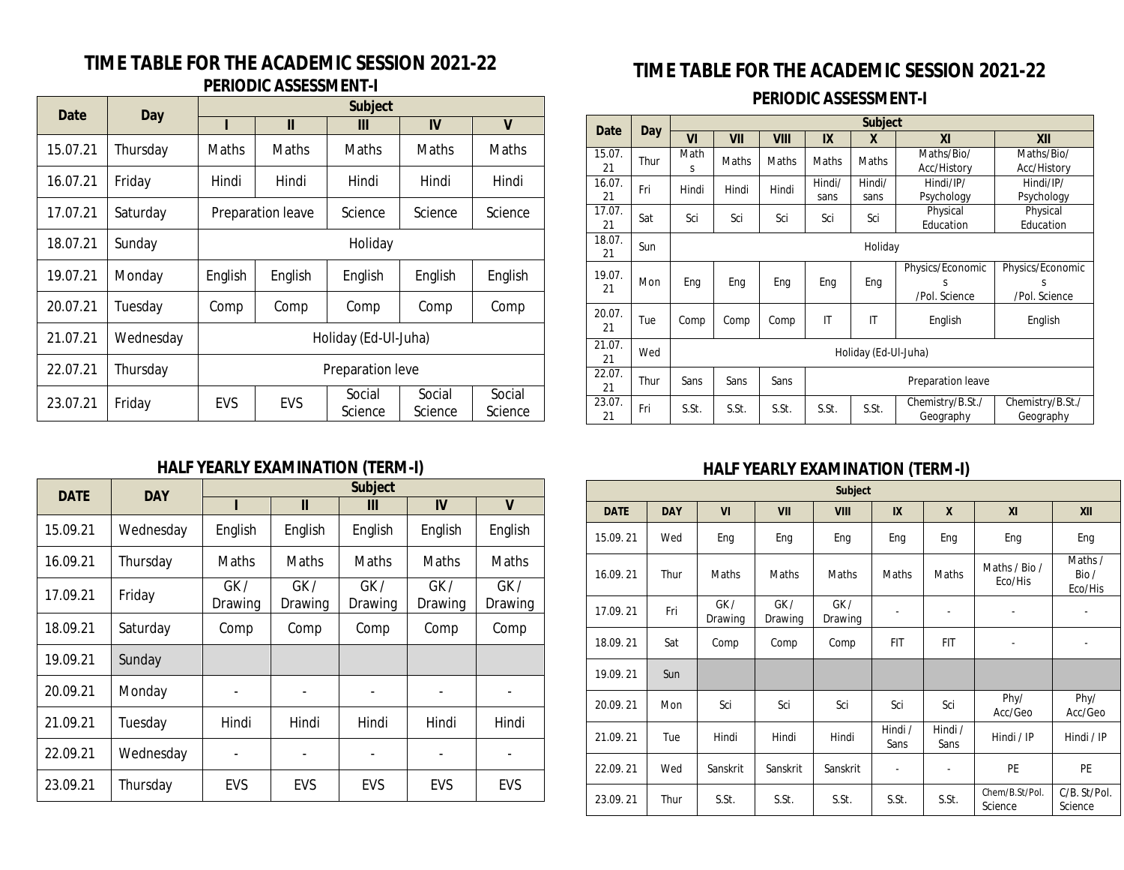#### **TIME TABLE FOR THE ACADEMIC SESSION 2021-22 PERIODIC ASSESSMENT-I**

| Date     | Day       | <b>Subject</b>       |                   |                   |                   |                   |  |  |  |
|----------|-----------|----------------------|-------------------|-------------------|-------------------|-------------------|--|--|--|
|          |           |                      | Ш                 | Ш                 | IV                | V                 |  |  |  |
| 15.07.21 | Thursday  | Maths                | <b>Maths</b>      | <b>Maths</b>      | <b>Maths</b>      | Maths             |  |  |  |
| 16.07.21 | Friday    | Hindi                | Hindi             | Hindi             | Hindi             | Hindi             |  |  |  |
| 17.07.21 | Saturday  |                      | Preparation leave | Science           | Science           | Science           |  |  |  |
| 18.07.21 | Sunday    | Holiday              |                   |                   |                   |                   |  |  |  |
| 19.07.21 | Monday    | English              | English           | English           | English           | English           |  |  |  |
| 20.07.21 | Tuesday   | Comp                 | Comp              | Comp              | Comp              | Comp              |  |  |  |
| 21.07.21 | Wednesday | Holiday (Ed-Ul-Juha) |                   |                   |                   |                   |  |  |  |
| 22.07.21 | Thursday  | Preparation leve     |                   |                   |                   |                   |  |  |  |
| 23.07.21 | Friday    | EVS                  | <b>EVS</b>        | Social<br>Science | Social<br>Science | Social<br>Science |  |  |  |

#### **HALF YEARLY EXAMINATION (TERM-I)**

| <b>DATE</b> | <b>DAY</b> | <b>Subject</b>           |                          |                              |                |                |  |  |  |
|-------------|------------|--------------------------|--------------------------|------------------------------|----------------|----------------|--|--|--|
|             |            |                          | Ш                        | Ш                            | IV             | $\mathbf v$    |  |  |  |
| 15.09.21    | Wednesday  | English                  | English                  | English                      | English        | English        |  |  |  |
| 16.09.21    | Thursday   | Maths                    | <b>Maths</b>             | <b>Maths</b>                 | <b>Maths</b>   | <b>Maths</b>   |  |  |  |
| 17.09.21    | Friday     | GK /<br>Drawing          | GK /<br>Drawing          | GK /<br>Drawing              | GK/<br>Drawing | GK/<br>Drawing |  |  |  |
| 18.09.21    | Saturday   | Comp                     | Comp                     | Comp                         | Comp           | Comp           |  |  |  |
| 19.09.21    | Sunday     |                          |                          |                              |                |                |  |  |  |
| 20.09.21    | Monday     | $\overline{\phantom{a}}$ | $\overline{\phantom{a}}$ | $\qquad \qquad \blacksquare$ |                |                |  |  |  |
| 21.09.21    | Tuesday    | Hindi                    | Hindi                    | Hindi                        | Hindi          | Hindi          |  |  |  |
| 22.09.21    | Wednesday  |                          |                          |                              |                |                |  |  |  |
| 23.09.21    | Thursday   | EVS                      | <b>EVS</b>               | <b>EVS</b>                   | EVS            | EVS            |  |  |  |

### **TIME TABLE FOR THE ACADEMIC SESSION 2021-22**

**PERIODIC ASSESSMENT-I**

| Date         | Day  | <b>Subject</b>       |       |             |                                                 |                              |                                        |                                        |  |  |
|--------------|------|----------------------|-------|-------------|-------------------------------------------------|------------------------------|----------------------------------------|----------------------------------------|--|--|
|              |      | VI                   | VII   | <b>VIII</b> | IX                                              | X                            | <b>XI</b>                              | XII                                    |  |  |
| 15.07.<br>21 | Thur | Math<br>S            | Maths | Maths       | Maths                                           | <b>Maths</b>                 | Maths/Bio/<br>Acc/History              | Maths/Bio/<br>Acc/History              |  |  |
| 16.07.<br>21 | Fri  | Hindi                | Hindi | Hindi       | Hindi/<br>sans                                  | Hindi/<br>sans               | Hindi/IP/<br>Psychology                | Hindi/IP/<br>Psychology                |  |  |
| 17.07.<br>21 | Sat  | Sci                  | Sci   | Sci         | Sci                                             | Physical<br>Sci<br>Education |                                        | Physical<br>Education                  |  |  |
| 18.07.<br>21 | Sun  |                      |       |             | Holiday                                         |                              |                                        |                                        |  |  |
| 19.07.<br>21 | Mon  | Eng                  | Eng   | Eng         | Eng                                             | Eng                          | Physics/Economic<br>S<br>/Pol. Science | Physics/Economic<br>S<br>/Pol. Science |  |  |
| 20.07.<br>21 | Tue  | Comp                 | Comp  | Comp        | IT                                              | IT                           | English                                | English                                |  |  |
| 21.07.<br>21 | Wed  | Holiday (Ed-Ul-Juha) |       |             |                                                 |                              |                                        |                                        |  |  |
| 22.07.<br>21 | Thur | Sans                 | Sans  | Sans        | Preparation leave                               |                              |                                        |                                        |  |  |
| 23.07.<br>21 | Fri  | S.St.                | S.St. | S.St.       | Chemistry/B.St./<br>S.St.<br>S.St.<br>Geography |                              | Chemistry/B.St./<br>Geography          |                                        |  |  |

#### **HALF YEARLY EXAMINATION (TERM-I)**

|             | <b>Subject</b> |                |                |                |                 |                          |                           |                            |  |  |  |  |
|-------------|----------------|----------------|----------------|----------------|-----------------|--------------------------|---------------------------|----------------------------|--|--|--|--|
| <b>DATE</b> | <b>DAY</b>     | VI             | VII            | <b>VIII</b>    | IX              | $\mathbf{x}$             | XI                        | XII                        |  |  |  |  |
| 15.09.21    | Wed            | Eng            | Eng            | Eng            | Eng             | Eng                      | Eng                       | Eng                        |  |  |  |  |
| 16.09.21    | Thur           | Maths          | Maths          | Maths          | Maths           | Maths                    | Maths / Bio /<br>Eco/His  | Maths /<br>Bio/<br>Eco/His |  |  |  |  |
| 17.09.21    | Fri            | GK/<br>Drawing | GK/<br>Drawing | GK/<br>Drawing |                 | $\overline{\phantom{a}}$ | ٠                         |                            |  |  |  |  |
| 18.09.21    | Sat            | Comp           | Comp           | Comp           | <b>FIT</b>      | <b>FIT</b>               | ٠                         |                            |  |  |  |  |
| 19.09.21    | Sun            |                |                |                |                 |                          |                           |                            |  |  |  |  |
| 20.09.21    | Mon            | Sci            | Sci            | Sci            | Sci             | Sci                      | Phy/<br>Acc/Geo           | Phy/<br>Acc/Geo            |  |  |  |  |
| 21.09.21    | Tue            | Hindi          | Hindi          | Hindi          | Hindi /<br>Sans | Hindi /<br>Sans          | Hindi / IP                | Hindi / IP                 |  |  |  |  |
| 22.09.21    | Wed            | Sanskrit       | Sanskrit       | Sanskrit       | ۰               | $\overline{\phantom{a}}$ | PE                        | <b>PE</b>                  |  |  |  |  |
| 23.09.21    | Thur           | S.St.          | S.St.          | S.St.          | S.St.           | S.St.                    | Chem/B.St/Pol.<br>Science | C/B. St/Pol.<br>Science    |  |  |  |  |